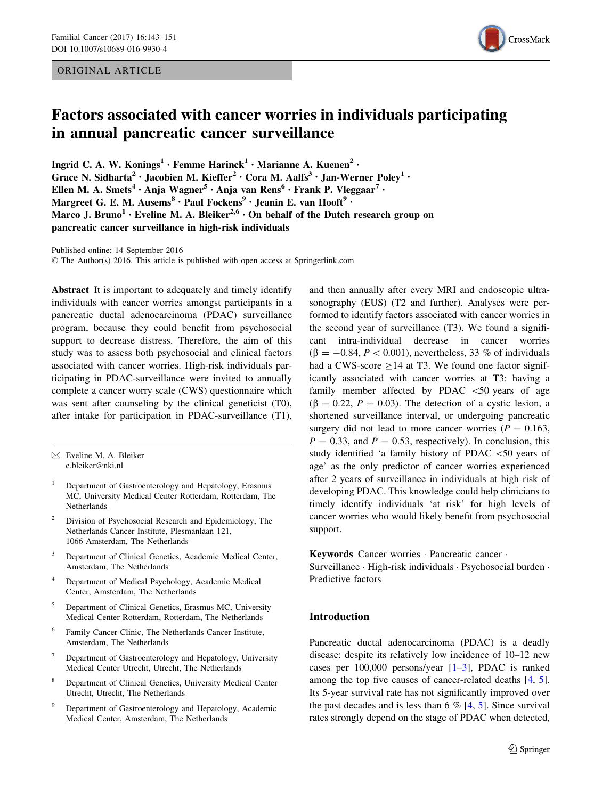### ORIGINAL ARTICLE



# Factors associated with cancer worries in individuals participating in annual pancreatic cancer surveillance

Ingrid C. A. W. Konings<sup>1</sup> • Femme Harinck<sup>1</sup> • Marianne A. Kuenen<sup>2</sup> • Grace N. Sidharta<sup>2</sup> • Jacobien M. Kieffer<sup>2</sup> • Cora M. Aalfs<sup>3</sup> • Jan-Werner Poley<sup>1</sup> • Ellen M. A. Smets<sup>4</sup> · Anja Wagner<sup>5</sup> · Anja van Rens<sup>6</sup> · Frank P. Vleggaar<sup>7</sup> · Margreet G. E. M. Ausems<sup>8</sup> · Paul Fockens<sup>9</sup> · Jeanin E. van Hooft<sup>9</sup> · Marco J. Bruno<sup>1</sup> • Eveline M. A. Bleiker<sup>2,6</sup> • On behalf of the Dutch research group on pancreatic cancer surveillance in high-risk individuals

Published online: 14 September 2016

© The Author(s) 2016. This article is published with open access at Springerlink.com

Abstract It is important to adequately and timely identify individuals with cancer worries amongst participants in a pancreatic ductal adenocarcinoma (PDAC) surveillance program, because they could benefit from psychosocial support to decrease distress. Therefore, the aim of this study was to assess both psychosocial and clinical factors associated with cancer worries. High-risk individuals participating in PDAC-surveillance were invited to annually complete a cancer worry scale (CWS) questionnaire which was sent after counseling by the clinical geneticist (T0), after intake for participation in PDAC-surveillance (T1),

- $\boxtimes$  Eveline M. A. Bleiker e.bleiker@nki.nl
- <sup>1</sup> Department of Gastroenterology and Hepatology, Erasmus MC, University Medical Center Rotterdam, Rotterdam, The Netherlands
- <sup>2</sup> Division of Psychosocial Research and Epidemiology, The Netherlands Cancer Institute, Plesmanlaan 121, 1066 Amsterdam, The Netherlands
- <sup>3</sup> Department of Clinical Genetics, Academic Medical Center, Amsterdam, The Netherlands
- Department of Medical Psychology, Academic Medical Center, Amsterdam, The Netherlands
- <sup>5</sup> Department of Clinical Genetics, Erasmus MC, University Medical Center Rotterdam, Rotterdam, The Netherlands
- <sup>6</sup> Family Cancer Clinic, The Netherlands Cancer Institute, Amsterdam, The Netherlands
- <sup>7</sup> Department of Gastroenterology and Hepatology, University Medical Center Utrecht, Utrecht, The Netherlands
- <sup>8</sup> Department of Clinical Genetics, University Medical Center Utrecht, Utrecht, The Netherlands
- Department of Gastroenterology and Hepatology, Academic Medical Center, Amsterdam, The Netherlands

and then annually after every MRI and endoscopic ultrasonography (EUS) (T2 and further). Analyses were performed to identify factors associated with cancer worries in the second year of surveillance (T3). We found a significant intra-individual decrease in cancer worries  $(\beta = -0.84, P < 0.001)$ , nevertheless, 33 % of individuals had a CWS-score  $\geq$  14 at T3. We found one factor significantly associated with cancer worries at T3: having a family member affected by PDAC  $\lt$  50 years of age  $(\beta = 0.22, P = 0.03)$ . The detection of a cystic lesion, a shortened surveillance interval, or undergoing pancreatic surgery did not lead to more cancer worries ( $P = 0.163$ ,  $P = 0.33$ , and  $P = 0.53$ , respectively). In conclusion, this study identified 'a family history of PDAC \50 years of age' as the only predictor of cancer worries experienced after 2 years of surveillance in individuals at high risk of developing PDAC. This knowledge could help clinicians to timely identify individuals 'at risk' for high levels of cancer worries who would likely benefit from psychosocial support.

Keywords Cancer worries - Pancreatic cancer -

Surveillance · High-risk individuals · Psychosocial burden · Predictive factors

## Introduction

Pancreatic ductal adenocarcinoma (PDAC) is a deadly disease: despite its relatively low incidence of 10–12 new cases per  $100,000$  persons/year  $[1-3]$ , PDAC is ranked among the top five causes of cancer-related deaths [\[4](#page-7-0), [5](#page-7-0)]. Its 5-year survival rate has not significantly improved over the past decades and is less than 6  $%$  [[4,](#page-7-0) [5](#page-7-0)]. Since survival rates strongly depend on the stage of PDAC when detected,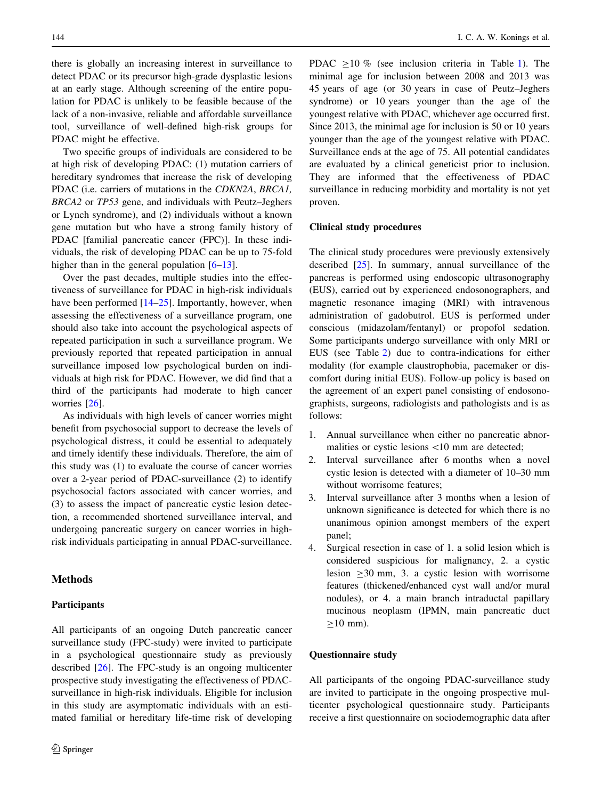there is globally an increasing interest in surveillance to detect PDAC or its precursor high-grade dysplastic lesions at an early stage. Although screening of the entire population for PDAC is unlikely to be feasible because of the lack of a non-invasive, reliable and affordable surveillance tool, surveillance of well-defined high-risk groups for PDAC might be effective.

Two specific groups of individuals are considered to be at high risk of developing PDAC: (1) mutation carriers of hereditary syndromes that increase the risk of developing PDAC (i.e. carriers of mutations in the CDKN2A, BRCA1, BRCA2 or TP53 gene, and individuals with Peutz–Jeghers or Lynch syndrome), and (2) individuals without a known gene mutation but who have a strong family history of PDAC [familial pancreatic cancer (FPC)]. In these individuals, the risk of developing PDAC can be up to 75-fold higher than in the general population  $[6-13]$ .

Over the past decades, multiple studies into the effectiveness of surveillance for PDAC in high-risk individuals have been performed  $[14–25]$  $[14–25]$  $[14–25]$ . Importantly, however, when assessing the effectiveness of a surveillance program, one should also take into account the psychological aspects of repeated participation in such a surveillance program. We previously reported that repeated participation in annual surveillance imposed low psychological burden on individuals at high risk for PDAC. However, we did find that a third of the participants had moderate to high cancer worries [[26\]](#page-8-0).

As individuals with high levels of cancer worries might benefit from psychosocial support to decrease the levels of psychological distress, it could be essential to adequately and timely identify these individuals. Therefore, the aim of this study was (1) to evaluate the course of cancer worries over a 2-year period of PDAC-surveillance (2) to identify psychosocial factors associated with cancer worries, and (3) to assess the impact of pancreatic cystic lesion detection, a recommended shortened surveillance interval, and undergoing pancreatic surgery on cancer worries in highrisk individuals participating in annual PDAC-surveillance.

## Methods

#### **Participants**

All participants of an ongoing Dutch pancreatic cancer surveillance study (FPC-study) were invited to participate in a psychological questionnaire study as previously described [[26\]](#page-8-0). The FPC-study is an ongoing multicenter prospective study investigating the effectiveness of PDACsurveillance in high-risk individuals. Eligible for inclusion in this study are asymptomatic individuals with an estimated familial or hereditary life-time risk of developing

PDAC  $>10\%$  (see inclusion criteria in Table [1\)](#page-2-0). The minimal age for inclusion between 2008 and 2013 was 45 years of age (or 30 years in case of Peutz–Jeghers syndrome) or 10 years younger than the age of the youngest relative with PDAC, whichever age occurred first. Since 2013, the minimal age for inclusion is 50 or 10 years younger than the age of the youngest relative with PDAC. Surveillance ends at the age of 75. All potential candidates are evaluated by a clinical geneticist prior to inclusion. They are informed that the effectiveness of PDAC surveillance in reducing morbidity and mortality is not yet proven.

#### Clinical study procedures

The clinical study procedures were previously extensively described [\[25](#page-8-0)]. In summary, annual surveillance of the pancreas is performed using endoscopic ultrasonography (EUS), carried out by experienced endosonographers, and magnetic resonance imaging (MRI) with intravenous administration of gadobutrol. EUS is performed under conscious (midazolam/fentanyl) or propofol sedation. Some participants undergo surveillance with only MRI or EUS (see Table [2\)](#page-3-0) due to contra-indications for either modality (for example claustrophobia, pacemaker or discomfort during initial EUS). Follow-up policy is based on the agreement of an expert panel consisting of endosonographists, surgeons, radiologists and pathologists and is as follows:

- 1. Annual surveillance when either no pancreatic abnormalities or cystic lesions <10 mm are detected;
- 2. Interval surveillance after 6 months when a novel cystic lesion is detected with a diameter of 10–30 mm without worrisome features;
- 3. Interval surveillance after 3 months when a lesion of unknown significance is detected for which there is no unanimous opinion amongst members of the expert panel;
- 4. Surgical resection in case of 1. a solid lesion which is considered suspicious for malignancy, 2. a cystic lesion  $\geq 30$  mm, 3. a cystic lesion with worrisome features (thickened/enhanced cyst wall and/or mural nodules), or 4. a main branch intraductal papillary mucinous neoplasm (IPMN, main pancreatic duct  $>10$  mm).

### Questionnaire study

All participants of the ongoing PDAC-surveillance study are invited to participate in the ongoing prospective multicenter psychological questionnaire study. Participants receive a first questionnaire on sociodemographic data after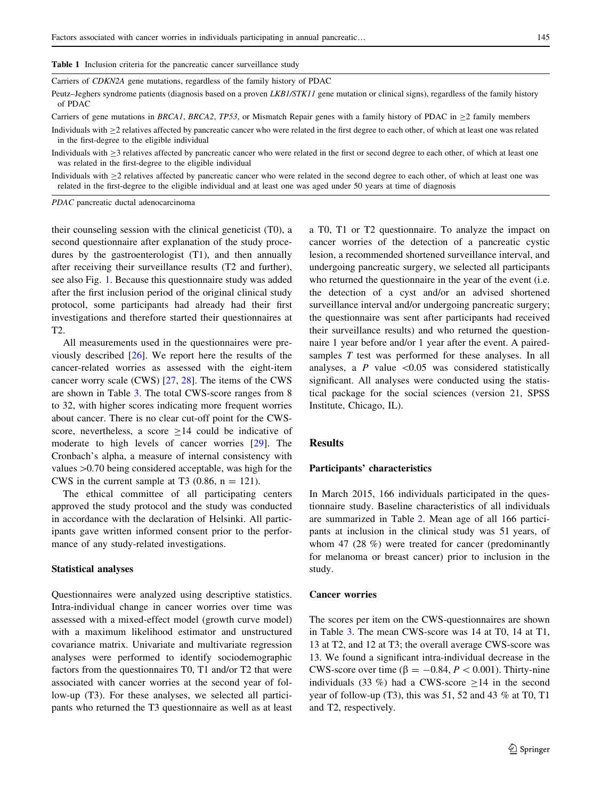<span id="page-2-0"></span>Table 1 Inclusion criteria for the pancreatic cancer surveillance study

Carriers of CDKN2A gene mutations, regardless of the family history of PDAC

Peutz–Jeghers syndrome patients (diagnosis based on a proven LKB1/STK11 gene mutation or clinical signs), regardless of the family history of PDAC

Carriers of gene mutations in BRCA1, BRCA2, TP53, or Mismatch Repair genes with a family history of PDAC in  $\geq$ 2 family members

Individuals with  $\geq$ 2 relatives affected by pancreatic cancer who were related in the first degree to each other, of which at least one was related in the first-degree to the eligible individual

Individuals with  $\geq$ 3 relatives affected by pancreatic cancer who were related in the first or second degree to each other, of which at least one was related in the first-degree to the eligible individual

Individuals with  $\geq$  relatives affected by pancreatic cancer who were related in the second degree to each other, of which at least one was related in the first-degree to the eligible individual and at least one was aged under 50 years at time of diagnosis

PDAC pancreatic ductal adenocarcinoma

their counseling session with the clinical geneticist (T0), a second questionnaire after explanation of the study procedures by the gastroenterologist (T1), and then annually after receiving their surveillance results (T2 and further), see also Fig. [1.](#page-4-0) Because this questionnaire study was added after the first inclusion period of the original clinical study protocol, some participants had already had their first investigations and therefore started their questionnaires at  $T2$ .

All measurements used in the questionnaires were previously described [\[26](#page-8-0)]. We report here the results of the cancer-related worries as assessed with the eight-item cancer worry scale (CWS) [\[27](#page-8-0), [28](#page-8-0)]. The items of the CWS are shown in Table [3.](#page-5-0) The total CWS-score ranges from 8 to 32, with higher scores indicating more frequent worries about cancer. There is no clear cut-off point for the CWSscore, nevertheless, a score  $>14$  could be indicative of moderate to high levels of cancer worries [\[29](#page-8-0)]. The Cronbach's alpha, a measure of internal consistency with values  $>0.70$  being considered acceptable, was high for the CWS in the current sample at T3  $(0.86, n = 121)$ .

The ethical committee of all participating centers approved the study protocol and the study was conducted in accordance with the declaration of Helsinki. All participants gave written informed consent prior to the performance of any study-related investigations.

#### Statistical analyses

Questionnaires were analyzed using descriptive statistics. Intra-individual change in cancer worries over time was assessed with a mixed-effect model (growth curve model) with a maximum likelihood estimator and unstructured covariance matrix. Univariate and multivariate regression analyses were performed to identify sociodemographic factors from the questionnaires T0, T1 and/or T2 that were associated with cancer worries at the second year of follow-up (T3). For these analyses, we selected all participants who returned the T3 questionnaire as well as at least a T0, T1 or T2 questionnaire. To analyze the impact on cancer worries of the detection of a pancreatic cystic lesion, a recommended shortened surveillance interval, and undergoing pancreatic surgery, we selected all participants who returned the questionnaire in the year of the event (i.e. the detection of a cyst and/or an advised shortened surveillance interval and/or undergoing pancreatic surgery; the questionnaire was sent after participants had received their surveillance results) and who returned the questionnaire 1 year before and/or 1 year after the event. A pairedsamples T test was performed for these analyses. In all analyses, a  $P$  value  $\leq 0.05$  was considered statistically significant. All analyses were conducted using the statistical package for the social sciences (version 21, SPSS Institute, Chicago, IL).

#### Results

#### Participants' characteristics

In March 2015, 166 individuals participated in the questionnaire study. Baseline characteristics of all individuals are summarized in Table [2](#page-3-0). Mean age of all 166 participants at inclusion in the clinical study was 51 years, of whom 47 (28 %) were treated for cancer (predominantly for melanoma or breast cancer) prior to inclusion in the study.

## Cancer worries

The scores per item on the CWS-questionnaires are shown in Table [3](#page-5-0). The mean CWS-score was 14 at T0, 14 at T1, 13 at T2, and 12 at T3; the overall average CWS-score was 13. We found a significant intra-individual decrease in the CWS-score over time ( $\beta = -0.84, P < 0.001$ ). Thirty-nine individuals (33 %) had a CWS-score  $\geq$ 14 in the second year of follow-up (T3), this was 51, 52 and 43 % at T0, T1 and T2, respectively.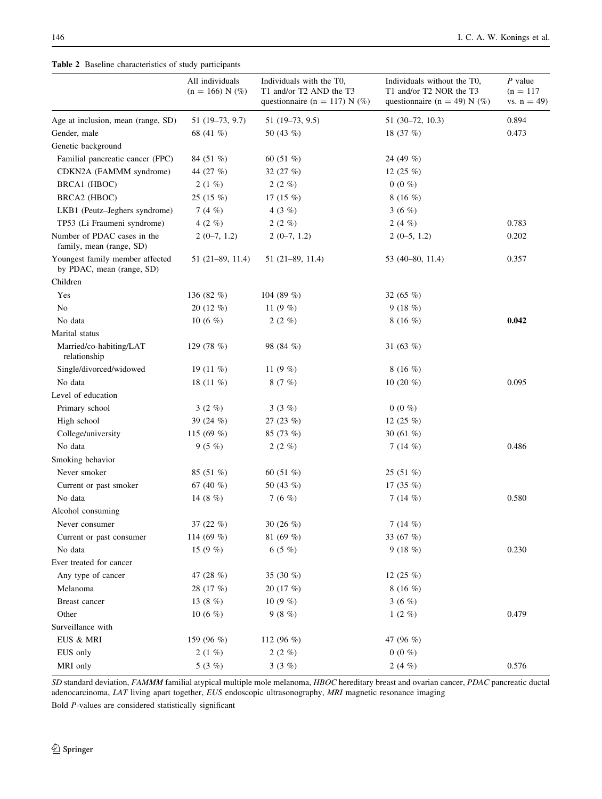### <span id="page-3-0"></span>Table 2 Baseline characteristics of study participants

|                                                              | All individuals<br>$(n = 166) N$ (%) | Individuals with the T0,<br>T1 and/or T2 AND the T3<br>questionnaire (n = 117) N $(\%)$ | Individuals without the T0,<br>T1 and/or T2 NOR the T3<br>questionnaire (n = 49) N $(\%)$ | P value<br>$(n = 117)$<br>vs. $n = 49$ |
|--------------------------------------------------------------|--------------------------------------|-----------------------------------------------------------------------------------------|-------------------------------------------------------------------------------------------|----------------------------------------|
| Age at inclusion, mean (range, SD)                           | 51 (19-73, 9.7)                      | $51(19-73, 9.5)$                                                                        | 51 (30-72, 10.3)                                                                          | 0.894                                  |
| Gender, male                                                 | 68 (41 %)                            | 50 $(43\%)$                                                                             | 18 $(37%)$                                                                                | 0.473                                  |
| Genetic background                                           |                                      |                                                                                         |                                                                                           |                                        |
| Familial pancreatic cancer (FPC)                             | 84 (51 %)                            | 60 $(51\%)$                                                                             | 24 (49 %)                                                                                 |                                        |
| CDKN2A (FAMMM syndrome)                                      | 44 (27 %)                            | 32 $(27%)$                                                                              | 12 $(25 \%)$                                                                              |                                        |
| BRCA1 (HBOC)                                                 | $2(1\%)$                             | 2(2%)                                                                                   | $0(0\%)$                                                                                  |                                        |
| BRCA2 (HBOC)                                                 | 25(15%)                              | 17 $(15 \%)$                                                                            | 8(16%)                                                                                    |                                        |
| LKB1 (Peutz-Jeghers syndrome)                                | 7 $(4 \%)$                           | 4 $(3 \%)$                                                                              | 3 (6 $%$ )                                                                                |                                        |
| TP53 (Li Fraumeni syndrome)                                  | 4 $(2 \% )$                          | $2(2\%)$                                                                                | 2(4%)                                                                                     | 0.783                                  |
| Number of PDAC cases in the<br>family, mean (range, SD)      | $2(0-7, 1.2)$                        | $2(0-7, 1.2)$                                                                           | $2(0-5, 1.2)$                                                                             | 0.202                                  |
| Youngest family member affected<br>by PDAC, mean (range, SD) | 51 (21–89, 11.4)                     | $51(21-89, 11.4)$                                                                       | 53 (40-80, 11.4)                                                                          | 0.357                                  |
| Children                                                     |                                      |                                                                                         |                                                                                           |                                        |
| Yes                                                          | 136 $(82\%)$                         | 104 (89 %)                                                                              | 32 $(65 \%)$                                                                              |                                        |
| N <sub>o</sub>                                               | 20 (12 %)                            | 11 $(9 \%)$                                                                             | 9(18%)                                                                                    |                                        |
| No data                                                      | 10 $(6 \%)$                          | $2(2\%)$                                                                                | $8(16\%)$                                                                                 | 0.042                                  |
| Marital status                                               |                                      |                                                                                         |                                                                                           |                                        |
| Married/co-habiting/LAT<br>relationship                      | 129 $(78%)$                          | 98 (84 %)                                                                               | 31 $(63%)$                                                                                |                                        |
| Single/divorced/widowed                                      | 19 $(11 \%)$                         | 11 $(9 \%)$                                                                             | 8(16%)                                                                                    |                                        |
| No data                                                      | 18 $(11\%)$                          | 8(7%)                                                                                   | 10 $(20\%$                                                                                | 0.095                                  |
| Level of education                                           |                                      |                                                                                         |                                                                                           |                                        |
| Primary school                                               | $3(2\%)$                             | 3(3%)                                                                                   | $0(0\%)$                                                                                  |                                        |
| High school                                                  | 39 $(24\%)$                          | 27 $(23 \%)$                                                                            | 12 $(25 \%)$                                                                              |                                        |
| College/university                                           | 115 (69 %)                           | 85 (73 %)                                                                               | 30 $(61\%)$                                                                               |                                        |
| No data                                                      | 9(5%)                                | $2(2\%)$                                                                                | 7 $(14 \%)$                                                                               | 0.486                                  |
| Smoking behavior                                             |                                      |                                                                                         |                                                                                           |                                        |
| Never smoker                                                 | 85 (51 %)                            | 60 $(51\%)$                                                                             | 25(51%)                                                                                   |                                        |
| Current or past smoker                                       | 67 $(40\%)$                          | 50 (43 $%$ )                                                                            | 17 $(35 \%)$                                                                              |                                        |
| No data                                                      | 14 (8 $%$ )                          | 7 (6 $%$ )                                                                              | 7 $(14 \%)$                                                                               | 0.580                                  |
| Alcohol consuming                                            |                                      |                                                                                         |                                                                                           |                                        |
| Never consumer                                               | 37 $(22 \%)$                         | 30 $(26 \%)$                                                                            | 7(14%)                                                                                    |                                        |
| Current or past consumer                                     | 114 (69 %)                           | 81 $(69\%)$                                                                             | 33 (67 %)                                                                                 |                                        |
| No data                                                      | 15 $(9 \%)$                          | 6(5%)                                                                                   | 9(18%)                                                                                    | 0.230                                  |
| Ever treated for cancer                                      |                                      |                                                                                         |                                                                                           |                                        |
| Any type of cancer                                           | 47 (28 %)                            | 35 (30 %)                                                                               | 12 $(25 \%)$                                                                              |                                        |
| Melanoma                                                     | 28 (17 %)                            | 20(17%)                                                                                 | 8 $(16 \%)$                                                                               |                                        |
| Breast cancer                                                | 13 $(8 \%)$                          | 10 $(9 \%)$                                                                             | 3 $(6 \%)$                                                                                |                                        |
| Other                                                        | 10 $(6 \%)$                          | 9(8%)                                                                                   | $1(2\%)$                                                                                  | 0.479                                  |
| Surveillance with                                            |                                      |                                                                                         |                                                                                           |                                        |
| EUS & MRI                                                    | 159 (96 %)                           | 112 (96 %)                                                                              | 47 (96 %)                                                                                 |                                        |
| EUS only                                                     | 2(1%)                                | 2(2%)                                                                                   | $0(0\%)$                                                                                  |                                        |
| MRI only                                                     | 5 (3 %)                              | 3(3%)                                                                                   | 2(4%)                                                                                     | 0.576                                  |

SD standard deviation, FAMMM familial atypical multiple mole melanoma, HBOC hereditary breast and ovarian cancer, PDAC pancreatic ductal adenocarcinoma, LAT living apart together, EUS endoscopic ultrasonography, MRI magnetic resonance imaging

Bold P-values are considered statistically significant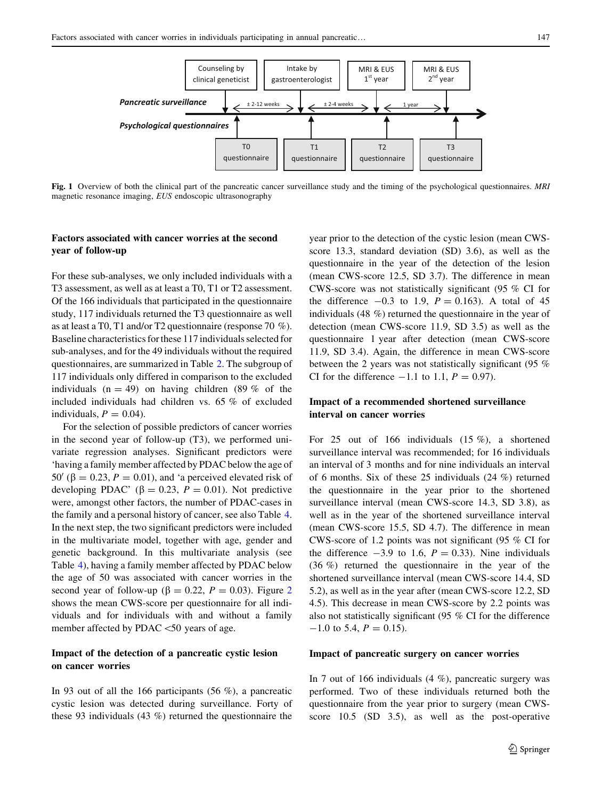questionnaire

questionnaire

questionnaire

<span id="page-4-0"></span>Fig. 1 Overview of both the clinical part of the pancreatic cancer surveillance study and the timing of the psychological questionnaires. MRI magnetic resonance imaging, EUS endoscopic ultrasonography

## Factors associated with cancer worries at the second year of follow-up

For these sub-analyses, we only included individuals with a T3 assessment, as well as at least a T0, T1 or T2 assessment. Of the 166 individuals that participated in the questionnaire study, 117 individuals returned the T3 questionnaire as well as at least a T0, T1 and/or T2 questionnaire (response 70 %). Baseline characteristics for these 117 individuals selected for sub-analyses, and for the 49 individuals without the required questionnaires, are summarized in Table [2.](#page-3-0) The subgroup of 117 individuals only differed in comparison to the excluded individuals ( $n = 49$ ) on having children (89 % of the included individuals had children vs. 65 % of excluded individuals,  $P = 0.04$ .

For the selection of possible predictors of cancer worries in the second year of follow-up (T3), we performed univariate regression analyses. Significant predictors were 'having a family member affected by PDAC below the age of 50' ( $\beta$  = 0.23, P = 0.01), and 'a perceived elevated risk of developing PDAC' ( $\beta = 0.23$ ,  $P = 0.01$ ). Not predictive were, amongst other factors, the number of PDAC-cases in the family and a personal history of cancer, see also Table [4.](#page-6-0) In the next step, the two significant predictors were included in the multivariate model, together with age, gender and genetic background. In this multivariate analysis (see Table [4](#page-6-0)), having a family member affected by PDAC below the age of 50 was associated with cancer worries in the second year of follow-up ( $\beta = 0.22$  $\beta = 0.22$  $\beta = 0.22$ ,  $P = 0.03$ ). Figure 2 shows the mean CWS-score per questionnaire for all individuals and for individuals with and without a family member affected by PDAC $<$ 50 years of age.

## Impact of the detection of a pancreatic cystic lesion on cancer worries

In 93 out of all the 166 participants (56 %), a pancreatic cystic lesion was detected during surveillance. Forty of these 93 individuals (43 %) returned the questionnaire the year prior to the detection of the cystic lesion (mean CWSscore 13.3, standard deviation (SD) 3.6), as well as the questionnaire in the year of the detection of the lesion (mean CWS-score 12.5, SD 3.7). The difference in mean CWS-score was not statistically significant (95 % CI for the difference  $-0.3$  to 1.9,  $P = 0.163$ ). A total of 45 individuals (48 %) returned the questionnaire in the year of detection (mean CWS-score 11.9, SD 3.5) as well as the questionnaire 1 year after detection (mean CWS-score 11.9, SD 3.4). Again, the difference in mean CWS-score between the 2 years was not statistically significant (95 % CI for the difference  $-1.1$  to 1.1,  $P = 0.97$ .

questionnaire

# Impact of a recommended shortened surveillance interval on cancer worries

For 25 out of 166 individuals (15 %), a shortened surveillance interval was recommended; for 16 individuals an interval of 3 months and for nine individuals an interval of 6 months. Six of these 25 individuals (24 %) returned the questionnaire in the year prior to the shortened surveillance interval (mean CWS-score 14.3, SD 3.8), as well as in the year of the shortened surveillance interval (mean CWS-score 15.5, SD 4.7). The difference in mean CWS-score of 1.2 points was not significant (95 % CI for the difference  $-3.9$  to 1.6,  $P = 0.33$ ). Nine individuals (36 %) returned the questionnaire in the year of the shortened surveillance interval (mean CWS-score 14.4, SD 5.2), as well as in the year after (mean CWS-score 12.2, SD 4.5). This decrease in mean CWS-score by 2.2 points was also not statistically significant (95 % CI for the difference  $-1.0$  to 5.4,  $P = 0.15$ ).

#### Impact of pancreatic surgery on cancer worries

In 7 out of 166 individuals (4 %), pancreatic surgery was performed. Two of these individuals returned both the questionnaire from the year prior to surgery (mean CWSscore 10.5 (SD 3.5), as well as the post-operative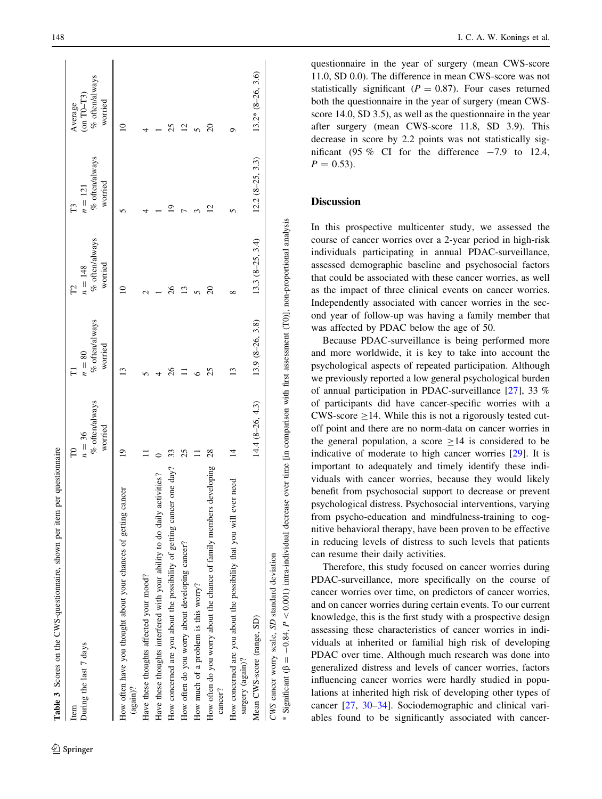<span id="page-5-0"></span>

| Table 3 Scores on the CWS-questionnaire, shown per item per questionnaire                                                                                                                                  |                                             |                                       |                                             |                                             |                                                     |
|------------------------------------------------------------------------------------------------------------------------------------------------------------------------------------------------------------|---------------------------------------------|---------------------------------------|---------------------------------------------|---------------------------------------------|-----------------------------------------------------|
| During the last 7 days<br>Item                                                                                                                                                                             | % often/always<br>worried<br>$n = 36$<br>FO | % often/always<br>worried<br>$n = 80$ | % often/always<br>worried<br>$n = 148$<br>P | % often/always<br>worried<br>$n = 121$<br>F | % often/always<br>$(m T0-T3)$<br>worried<br>Average |
| How often have you thought about your chances of getting cancer<br>$(a$ gain)?                                                                                                                             | ₫                                           |                                       |                                             |                                             | $\overline{\phantom{0}}$                            |
| Have these thoughts affected your mood?                                                                                                                                                                    |                                             |                                       |                                             |                                             |                                                     |
| Have these thoughts interfered with your ability to do daily activities?                                                                                                                                   |                                             |                                       |                                             |                                             |                                                     |
| How concerned are you about the possibility of getting cancer one day?                                                                                                                                     | 33                                          |                                       |                                             |                                             |                                                     |
| How often do you worry about developing cancer?                                                                                                                                                            | 25                                          |                                       |                                             |                                             |                                                     |
| How much of a problem is this worry?                                                                                                                                                                       |                                             |                                       |                                             |                                             |                                                     |
| How often do you worry about the chance of family members developing<br>cancer?                                                                                                                            | $\frac{28}{2}$                              | 25                                    |                                             | $\overline{c}$                              | $\overline{c}$                                      |
| ever need<br>How concerned are you about the possibility that you will<br>surgery (again)?                                                                                                                 | $\vec{v}$                                   | $\mathbf{13}$                         | ∞                                           |                                             | ó                                                   |
| Mean CWS-score (range, SD)                                                                                                                                                                                 | $14.4 (8 - 26, 4.3)$                        | 13.9 (8-26, 3.8)                      | $13.3 (8-25, 3.4)$                          | $12.2 (8-25, 3.3)$                          | $13.2*$ $(8-26, 3.6)$                               |
| * Significant ( $\beta = -0.84$ , $P < 0.001$ ) intra-individual decrease over time [in comparison with first assessment (T0)], non-proportional analysis<br>CWS cancer worry scale, SD standard deviation |                                             |                                       |                                             |                                             |                                                     |
|                                                                                                                                                                                                            |                                             |                                       |                                             |                                             |                                                     |

questionnaire in the year of surgery (mean CWS-score 11.0, SD 0.0). The difference in mean CWS-score was not statistically significant ( $P = 0.87$ ). Four cases returned both the questionnaire in the year of surgery (mean CWSscore 14.0, SD 3.5), as well as the questionnaire in the year after surgery (mean CWS-score 11.8, SD 3.9). This decrease in score by 2.2 points was not statistically significant (95  $\%$  CI for the difference  $-7.9$  to 12.4,  $P = 0.53$ ).

# **Discussion**

In this prospective multicenter study, we assessed the course of cancer worries over a 2-year period in high-risk individuals participating in annual PDAC-surveillance, assessed demographic baseline and psychosocial factors that could be associated with these cancer worries, as well as the impact of three clinical events on cancer worries. Independently associated with cancer worries in the second year of follow-up was having a family member that was affected by PDAC below the age of 50.

Because PDAC-surveillance is being performed more and more worldwide, it is key to take into account the psychological aspects of repeated participation. Although we previously reported a low general psychological burden of annual participation in PDAC-surveillance [[27\]](#page-8-0), 33 % of participants did have cancer-specific worries with a CWS-score  $\geq$ 14. While this is not a rigorously tested cutoff point and there are no norm-data on cancer worries in the general population, a score  $\geq 14$  is considered to be indicative of moderate to high cancer worries [\[29](#page-8-0)]. It is important to adequately and timely identify these individuals with cancer worries, because they would likely benefit from psychosocial support to decrease or prevent psychological distress. Psychosocial interventions, varying from psycho-education and mindfulness-training to cognitive behavioral therapy, have been proven to be effective in reducing levels of distress to such levels that patients can resume their daily activities.

Therefore, this study focused on cancer worries during PDAC-surveillance, more specifically on the course of cancer worries over time, on predictors of cancer worries, and on cancer worries during certain events. To our current knowledge, this is the first study with a prospective design assessing these characteristics of cancer worries in individuals at inherited or familial high risk of developing PDAC over time. Although much research was done into generalized distress and levels of cancer worries, factors influencing cancer worries were hardly studied in populations at inherited high risk of developing other types of cancer [[27](#page-8-0) , [30](#page-8-0) [–34](#page-8-0)]. Sociodemographic and clinical variables found to be significantly associated with cancer-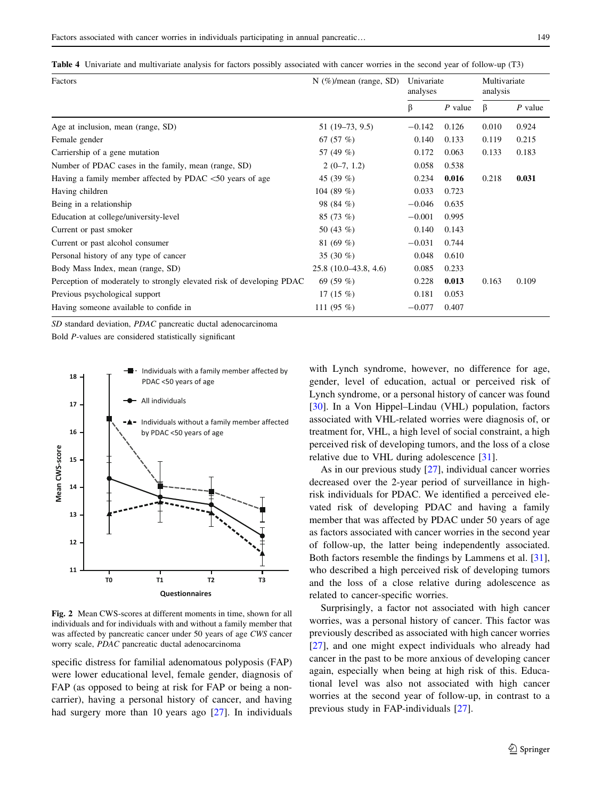<span id="page-6-0"></span>Table 4 Univariate and multivariate analysis for factors possibly associated with cancer worries in the second year of follow-up (T3)

| Factors                                                               | $N$ (%)/mean (range, SD) | Univariate<br>analyses |           | Multivariate<br>analysis |           |
|-----------------------------------------------------------------------|--------------------------|------------------------|-----------|--------------------------|-----------|
|                                                                       |                          | β                      | $P$ value | ß                        | $P$ value |
| Age at inclusion, mean (range, SD)                                    | 51 (19–73, 9.5)          | $-0.142$               | 0.126     | 0.010                    | 0.924     |
| Female gender                                                         | 67 $(57%)$               | 0.140                  | 0.133     | 0.119                    | 0.215     |
| Carriership of a gene mutation                                        | 57 (49 %)                | 0.172                  | 0.063     | 0.133                    | 0.183     |
| Number of PDAC cases in the family, mean (range, SD)                  | $2(0-7, 1.2)$            | 0.058                  | 0.538     |                          |           |
| Having a family member affected by PDAC $<$ 50 years of age           | 45 $(39\%)$              | 0.234                  | 0.016     | 0.218                    | 0.031     |
| Having children                                                       | 104 (89 %)               | 0.033                  | 0.723     |                          |           |
| Being in a relationship                                               | 98 (84 %)                | $-0.046$               | 0.635     |                          |           |
| Education at college/university-level                                 | $85(73\%)$               | $-0.001$               | 0.995     |                          |           |
| Current or past smoker                                                | 50 (43 %)                | 0.140                  | 0.143     |                          |           |
| Current or past alcohol consumer                                      | 81 $(69\%)$              | $-0.031$               | 0.744     |                          |           |
| Personal history of any type of cancer                                | 35 $(30\%)$              | 0.048                  | 0.610     |                          |           |
| Body Mass Index, mean (range, SD)                                     | $25.8(10.0-43.8, 4.6)$   | 0.085                  | 0.233     |                          |           |
| Perception of moderately to strongly elevated risk of developing PDAC | 69 $(59\%)$              | 0.228                  | 0.013     | 0.163                    | 0.109     |
| Previous psychological support                                        | 17 $(15 \%)$             | 0.181                  | 0.053     |                          |           |
| Having someone available to confide in                                | 111 $(95\%)$             | $-0.077$               | 0.407     |                          |           |

SD standard deviation, PDAC pancreatic ductal adenocarcinoma

Bold P-values are considered statistically significant



Fig. 2 Mean CWS-scores at different moments in time, shown for all individuals and for individuals with and without a family member that was affected by pancreatic cancer under 50 years of age CWS cancer worry scale, PDAC pancreatic ductal adenocarcinoma

specific distress for familial adenomatous polyposis (FAP) were lower educational level, female gender, diagnosis of FAP (as opposed to being at risk for FAP or being a noncarrier), having a personal history of cancer, and having had surgery more than 10 years ago [[27\]](#page-8-0). In individuals

with Lynch syndrome, however, no difference for age, gender, level of education, actual or perceived risk of Lynch syndrome, or a personal history of cancer was found [\[30](#page-8-0)]. In a Von Hippel–Lindau (VHL) population, factors associated with VHL-related worries were diagnosis of, or treatment for, VHL, a high level of social constraint, a high perceived risk of developing tumors, and the loss of a close relative due to VHL during adolescence [[31\]](#page-8-0).

As in our previous study [\[27](#page-8-0)], individual cancer worries decreased over the 2-year period of surveillance in highrisk individuals for PDAC. We identified a perceived elevated risk of developing PDAC and having a family member that was affected by PDAC under 50 years of age as factors associated with cancer worries in the second year of follow-up, the latter being independently associated. Both factors resemble the findings by Lammens et al. [\[31](#page-8-0)], who described a high perceived risk of developing tumors and the loss of a close relative during adolescence as related to cancer-specific worries.

Surprisingly, a factor not associated with high cancer worries, was a personal history of cancer. This factor was previously described as associated with high cancer worries [\[27](#page-8-0)], and one might expect individuals who already had cancer in the past to be more anxious of developing cancer again, especially when being at high risk of this. Educational level was also not associated with high cancer worries at the second year of follow-up, in contrast to a previous study in FAP-individuals [[27\]](#page-8-0).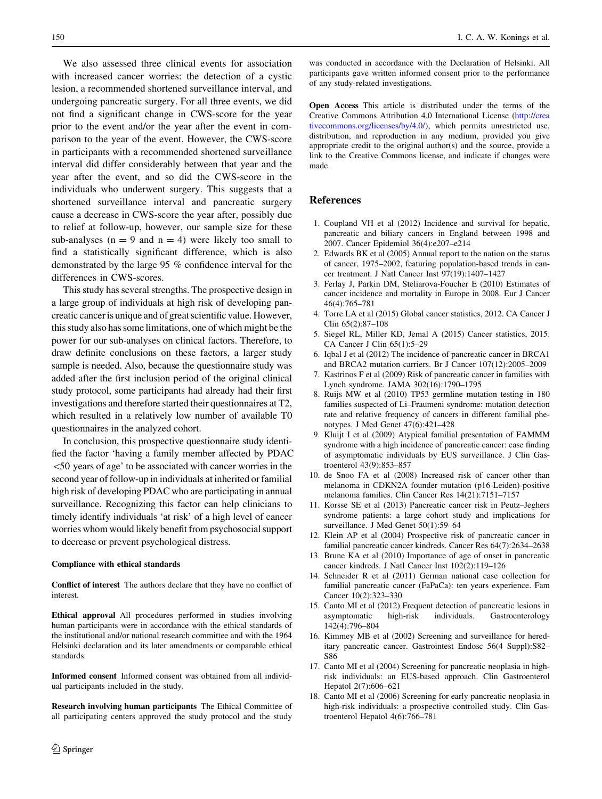<span id="page-7-0"></span>We also assessed three clinical events for association with increased cancer worries: the detection of a cystic lesion, a recommended shortened surveillance interval, and undergoing pancreatic surgery. For all three events, we did not find a significant change in CWS-score for the year prior to the event and/or the year after the event in comparison to the year of the event. However, the CWS-score in participants with a recommended shortened surveillance interval did differ considerably between that year and the year after the event, and so did the CWS-score in the individuals who underwent surgery. This suggests that a shortened surveillance interval and pancreatic surgery cause a decrease in CWS-score the year after, possibly due to relief at follow-up, however, our sample size for these sub-analyses ( $n = 9$  and  $n = 4$ ) were likely too small to find a statistically significant difference, which is also demonstrated by the large 95 % confidence interval for the differences in CWS-scores.

This study has several strengths. The prospective design in a large group of individuals at high risk of developing pancreatic cancer is unique and of great scientific value. However, this study also has some limitations, one of which might be the power for our sub-analyses on clinical factors. Therefore, to draw definite conclusions on these factors, a larger study sample is needed. Also, because the questionnaire study was added after the first inclusion period of the original clinical study protocol, some participants had already had their first investigations and therefore started their questionnaires at T2, which resulted in a relatively low number of available T0 questionnaires in the analyzed cohort.

In conclusion, this prospective questionnaire study identified the factor 'having a family member affected by PDAC \50 years of age' to be associated with cancer worries in the second year of follow-up in individuals at inherited or familial high risk of developing PDAC who are participating in annual surveillance. Recognizing this factor can help clinicians to timely identify individuals 'at risk' of a high level of cancer worries whom would likely benefit from psychosocial support to decrease or prevent psychological distress.

#### Compliance with ethical standards

Conflict of interest The authors declare that they have no conflict of interest.

Ethical approval All procedures performed in studies involving human participants were in accordance with the ethical standards of the institutional and/or national research committee and with the 1964 Helsinki declaration and its later amendments or comparable ethical standards.

Informed consent Informed consent was obtained from all individual participants included in the study.

Research involving human participants The Ethical Committee of all participating centers approved the study protocol and the study

was conducted in accordance with the Declaration of Helsinki. All participants gave written informed consent prior to the performance of any study-related investigations.

Open Access This article is distributed under the terms of the Creative Commons Attribution 4.0 International License ([http://crea](http://creativecommons.org/licenses/by/4.0/) [tivecommons.org/licenses/by/4.0/\)](http://creativecommons.org/licenses/by/4.0/), which permits unrestricted use, distribution, and reproduction in any medium, provided you give appropriate credit to the original author(s) and the source, provide a link to the Creative Commons license, and indicate if changes were made.

### References

- 1. Coupland VH et al (2012) Incidence and survival for hepatic, pancreatic and biliary cancers in England between 1998 and 2007. Cancer Epidemiol 36(4):e207–e214
- 2. Edwards BK et al (2005) Annual report to the nation on the status of cancer, 1975–2002, featuring population-based trends in cancer treatment. J Natl Cancer Inst 97(19):1407–1427
- 3. Ferlay J, Parkin DM, Steliarova-Foucher E (2010) Estimates of cancer incidence and mortality in Europe in 2008. Eur J Cancer 46(4):765–781
- 4. Torre LA et al (2015) Global cancer statistics, 2012. CA Cancer J Clin 65(2):87–108
- 5. Siegel RL, Miller KD, Jemal A (2015) Cancer statistics, 2015. CA Cancer J Clin 65(1):5–29
- 6. Iqbal J et al (2012) The incidence of pancreatic cancer in BRCA1 and BRCA2 mutation carriers. Br J Cancer 107(12):2005–2009
- 7. Kastrinos F et al (2009) Risk of pancreatic cancer in families with Lynch syndrome. JAMA 302(16):1790–1795
- 8. Ruijs MW et al (2010) TP53 germline mutation testing in 180 families suspected of Li–Fraumeni syndrome: mutation detection rate and relative frequency of cancers in different familial phenotypes. J Med Genet 47(6):421–428
- 9. Kluijt I et al (2009) Atypical familial presentation of FAMMM syndrome with a high incidence of pancreatic cancer: case finding of asymptomatic individuals by EUS surveillance. J Clin Gastroenterol 43(9):853–857
- 10. de Snoo FA et al (2008) Increased risk of cancer other than melanoma in CDKN2A founder mutation (p16-Leiden)-positive melanoma families. Clin Cancer Res 14(21):7151–7157
- 11. Korsse SE et al (2013) Pancreatic cancer risk in Peutz–Jeghers syndrome patients: a large cohort study and implications for surveillance. J Med Genet 50(1):59–64
- 12. Klein AP et al (2004) Prospective risk of pancreatic cancer in familial pancreatic cancer kindreds. Cancer Res 64(7):2634–2638
- 13. Brune KA et al (2010) Importance of age of onset in pancreatic cancer kindreds. J Natl Cancer Inst 102(2):119–126
- 14. Schneider R et al (2011) German national case collection for familial pancreatic cancer (FaPaCa): ten years experience. Fam Cancer 10(2):323–330
- 15. Canto MI et al (2012) Frequent detection of pancreatic lesions in asymptomatic high-risk individuals. Gastroenterology 142(4):796–804
- 16. Kimmey MB et al (2002) Screening and surveillance for hereditary pancreatic cancer. Gastrointest Endosc 56(4 Suppl):S82– S86
- 17. Canto MI et al (2004) Screening for pancreatic neoplasia in highrisk individuals: an EUS-based approach. Clin Gastroenterol Hepatol 2(7):606–621
- 18. Canto MI et al (2006) Screening for early pancreatic neoplasia in high-risk individuals: a prospective controlled study. Clin Gastroenterol Hepatol 4(6):766–781